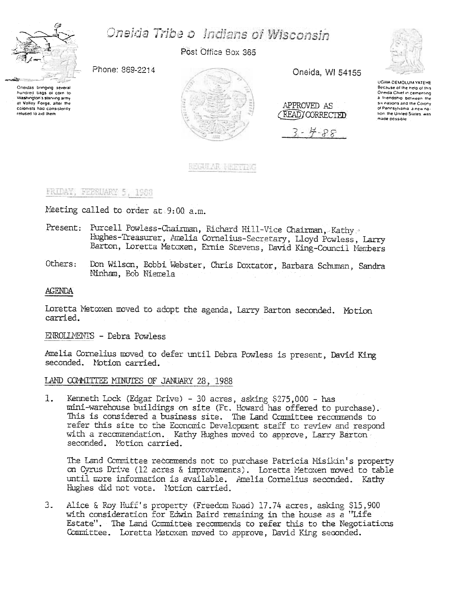

hundred bags of corn to Washington's starving army

at Valley Forge, after the

colonists had consistently

relused to aid them.

# Oneida Tribe o Indians of Wisconsin

Post Office Box 365

Oneida, WI 54155

Phone: 869-2214



REGULAR FINETIAG

APPROVED AS (READ) CORRECTED

 $3 - 4 - 88$ 



UGWA DEMOLUM YATEHE Because of the help of this<br>Oneida Chief in cementing a friendship between the six nations and the Colony of Pennsylvania, a new nation the United States, was made possible

## FRIDAY, FEBRUARY 5, 1988

Meeting called to order at 9:00 a.m.

- Present: Purcell Powless-Chairman, Richard Hill-Vice Chairman, Kathy Hughes-Treasurer, Amelia Cornelius-Secretary, Lloyd Powless, Larry Barton, Loretta Metoxen, Ernie Stevens, David King-Council Members
- Don Wilson, Bobbi Webster, Chris Doxtator, Barbara Schuman, Sandra Others: Ninham, Bob Niemela

#### **AGENDA**

Loretta Metoxen moved to adopt the agenda, Larry Barton seconded. Motion carried.

#### ENROLLMENTS - Debra Powless

Amelia Cornelius moved to defer until Debra Powless is present, David King seconded. Motion carried.

#### LAND COMMITTEE MINUTES OF JANUARY 28, 1988

Kenneth Lock (Edgar Drive) - 30 acres, asking \$275,000 - has  $1.$ mini-warehouse buildings on site (Ft. Howard has offered to purchase). This is considered a business site. The Land Committee recommends to refer this site to the Economic Development staff to review and respond with a recommendation. Kathy Hughes moved to approve. Larry Barton seconded. Motion carried.

The Land Committee recommends not to purchase Patricia Misikin's property on Cyrus Drive (12 acres & improvements). Loretta Metoxen moved to table until more information is available. Amelia Cornelius seconded. Kathy Hughes did not vote. Motion carried.

 $\mathcal{E}$ Alice & Roy Huff's property (Freedom Road) 17.74 acres, asking \$15,900 with consideration for Edwin Baird remaining in the house as a "Life" Estate". The Land Committee recommends to refer this to the Negotiations Committee. Loretta Metoxen moved to approve, David King seconded.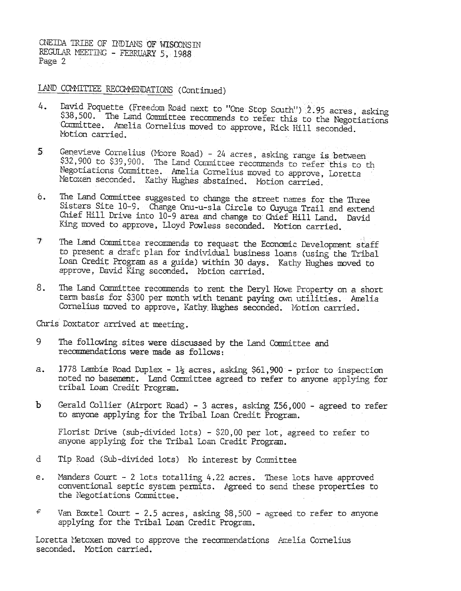CNEIDA TRIBE OF INDIANS OF WISCONSIN REGULAR MEETING - FEBRUARY 5, 1988 Page 2

## LAND COMMITTEE RECOMMENDATIONS (Continued)

- David Poquette (Freedom Road next to "One Stop South") 2.95 acres, asking 4. \$38,500. The Land Committee recommends to refer this to the Negotiations Committee. Amelia Cornelius moved to approve, Rick Hill seconded. Notion carried
- Genevieve Cornelius (Moore Road) 24 acres, asking range is between  $5<sub>1</sub>$ \$32,900 to \$39,900. The Land Committee recommends to refer this to th Negotiations Committee. Amelia Cornelius moved to approve, Loretta Metoxen seconded. Kathy Hughes abstained. Motion carried.
- The Land Committee suggested to change the street names for the Three  $6.$ Sisters Site 10-9. Change Onu-u-sla Circle to Cuyuga Trail and extend Chief Hill Drive into 10-9 area and change to Chief Hill Land. David King moved to approve, Lloyd Powless seconded. Motion carried.
- $\mathcal{T}$ The Land Committee recommends to request the Economic Development staff to present a draft plan for individual business loans (using the Tribal Loan Credit Program as a guide) within 30 days. Kathy Hughes moved to approve, David King seconded. Motion carried.
- 8. The Land Committee recommends to rent the Deryl Howe Property on a short term basis for \$300 per month with tenant paying own utilities. Amelia Cornelius moved to approve, Kathy Hughes seconded. Motion carried.

Chris Doxtator arrived at meeting.

- 9 The following sites were discussed by the land Committee and recommendations were made as follows:
- a. 1778 Lambie Road Duplex - 1} acres, asking \$61,900 - prior to inspection noted no basement. Land Committee agreed to refer to anyone applying for tribal Loan Credit Program.
- Ъ Gerald Collier (Airport Road) - 3 acres, asking 756,000 - agreed to refer to anyone applying for the Tribal Loan Credit Program.

Florist Drive (sub-divided lots) - \$20,00 per lot, agreed to refer to anyone applying for the Tribal Loan Credit Program.

- d Tip Road (Sub-divided lots) No interest by Committee
- Manders Court 2 lots totalling 4.22 acres. These lots have approved e. conventional septic system permits. Agreed to send these properties to the Negotiations Committee.
- $\in$ Van Boxtel Court - 2.5 acres, asking \$8,500 - agreed to refer to anyone applying for the Tribal Loan Credit Program.

Loretta Metoxen moved to approve the recommendations Amelia Cornelius seconded. Motion carried.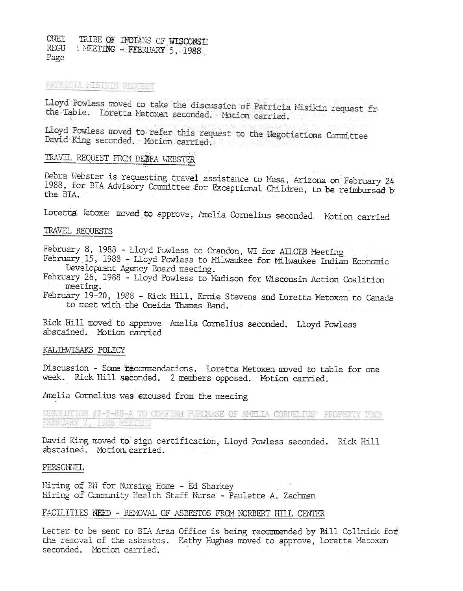**CNET** TRIBE OF INDIANS OF WISCONSI REGU NEETING - FEBRUARY 5, 1988 Page

## PATRICTA MISIKIN REQUEST

Lloyd Powless moved to take the discussion of Patricia Misikin request fr the Table. Loretta Metoxen seconded. Motion carried.

Lloyd Powless moved to refer this request to the Negotiations Committee David King seconded. Motion carried.

# TRAVEL REQUEST FROM DEERA WEBSTER

Debra Webster is requesting travel assistance to Mesa, Arizona on February 24 1988, for BIA Advisory Committee for Exceptional Children, to be reimbursed by the BIA.

Loretta letoxe moved to approve, Amelia Cornelius seconded. Motion carried

#### TRAVEL REQUESTS

February 8, 1988 - Lloyd Powless to Crandon, WI for AILCEB Meeting

February 15, 1988 - Lloyd Powless to Milwaukee for Milwaukee Indian Economic Development Agency Board meeting.

February 26, 1988 - Lloyd Powless to Madison for Wisconsin Action Coalition meeting.

February 19-20, 1988 - Rick Hill, Ernie Stevens and Loretta Metoxen to Canada to meet with the Oneida Thames Band.

Rick Hill moved to approve Amelia Cornelius seconded. Lloyd Powless abstained. Motion carried

#### KALIHWISAKS POLICY

Discussion - Some recommendations. Loretta Metoxen moved to table for one week. Rick Hill seconded. 2 members opposed. Motion carried.

Amelia Cornelius was excused from the meeting

RESOLUTION #2-5-88-A TO CONFIRM FURCHASE OF AMELIA CORNELIUS' PROPERTY FROM FEBRUARY 2, 1988 MEETING

David King moved to sign certification, Lloyd Powless seconded. Rick Hill abstained. Motion carried.

#### PERSONNEL

Hiring of RN for Nursing Home - Ed Sharkey Hiring of Community Health Staff Nurse - Paulette A. Zachman

#### FACILITIES NEED - REMOVAL OF ASBESTOS FROM NORBERT HILL CENTER

Letter to be sent to BIA Area Office is being recommended by Bill Collnick for the renoval of the asbestos. Kathy Hughes moved to approve, Loretta Metoxen seconded. Motion carried.